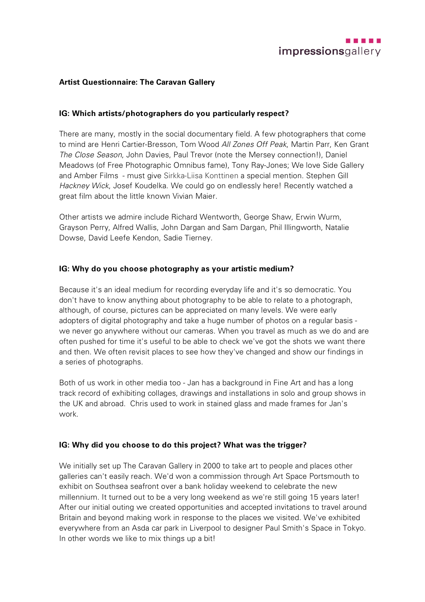## **Artist Questionnaire: The Caravan Gallery**

#### **IG: Which artists/photographers do you particularly respect?**

There are many, mostly in the social documentary field. A few photographers that come to mind are Henri Cartier-Bresson, Tom Wood *All Zones Off Peak*, Martin Parr, Ken Grant *The Close Season*, John Davies, Paul Trevor (note the Mersey connection!), Daniel Meadows (of Free Photographic Omnibus fame), Tony Ray-Jones; We love Side Gallery and Amber Films - must give Sirkka-Liisa Konttinen a special mention. Stephen Gill *Hackney Wick*, Josef Koudelka. We could go on endlessly here! Recently watched a great film about the little known Vivian Maier.

Other artists we admire include Richard Wentworth, George Shaw, Erwin Wurm, Grayson Perry, Alfred Wallis, John Dargan and Sam Dargan, Phil Illingworth, Natalie Dowse, David Leefe Kendon, Sadie Tierney.

## **IG: Why do you choose photography as your artistic medium?**

Because it's an ideal medium for recording everyday life and it's so democratic. You don't have to know anything about photography to be able to relate to a photograph, although, of course, pictures can be appreciated on many levels. We were early adopters of digital photography and take a huge number of photos on a regular basis we never go anywhere without our cameras. When you travel as much as we do and are often pushed for time it's useful to be able to check we've got the shots we want there and then. We often revisit places to see how they've changed and show our findings in a series of photographs.

Both of us work in other media too - Jan has a background in Fine Art and has a long track record of exhibiting collages, drawings and installations in solo and group shows in the UK and abroad. Chris used to work in stained glass and made frames for Jan's work.

#### **IG: Why did you choose to do this project? What was the trigger?**

We initially set up The Caravan Gallery in 2000 to take art to people and places other galleries can't easily reach. We'd won a commission through Art Space Portsmouth to exhibit on Southsea seafront over a bank holiday weekend to celebrate the new millennium. It turned out to be a very long weekend as we're still going 15 years later! After our initial outing we created opportunities and accepted invitations to travel around Britain and beyond making work in response to the places we visited. We've exhibited everywhere from an Asda car park in Liverpool to designer Paul Smith's Space in Tokyo. In other words we like to mix things up a bit!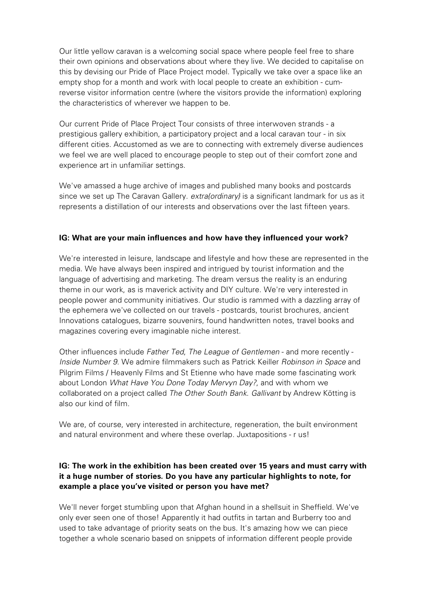Our little yellow caravan is a welcoming social space where people feel free to share their own opinions and observations about where they live. We decided to capitalise on this by devising our Pride of Place Project model. Typically we take over a space like an empty shop for a month and work with local people to create an exhibition - cumreverse visitor information centre (where the visitors provide the information) exploring the characteristics of wherever we happen to be.

Our current Pride of Place Project Tour consists of three interwoven strands - a prestigious gallery exhibition, a participatory project and a local caravan tour - in six different cities. Accustomed as we are to connecting with extremely diverse audiences we feel we are well placed to encourage people to step out of their comfort zone and experience art in unfamiliar settings.

We've amassed a huge archive of images and published many books and postcards since we set up The Caravan Gallery. *extra{ordinary}* is a significant landmark for us as it represents a distillation of our interests and observations over the last fifteen years.

## **IG: What are your main influences and how have they influenced your work?**

We're interested in leisure, landscape and lifestyle and how these are represented in the media. We have always been inspired and intrigued by tourist information and the language of advertising and marketing. The dream versus the reality is an enduring theme in our work, as is maverick activity and DIY culture. We're very interested in people power and community initiatives. Our studio is rammed with a dazzling array of the ephemera we've collected on our travels - postcards, tourist brochures, ancient Innovations catalogues, bizarre souvenirs, found handwritten notes, travel books and magazines covering every imaginable niche interest.

Other influences include *Father Ted*, *The League of Gentlemen* - and more recently - *Inside Number 9*. We admire filmmakers such as Patrick Keiller *Robinson in Space* and Pilgrim Films / Heavenly Films and St Etienne who have made some fascinating work about London *What Have You Done Today Mervyn Day?*, and with whom we collaborated on a project called *The Other South Bank*. *Gallivant* by Andrew Kötting is also our kind of film.

We are, of course, very interested in architecture, regeneration, the built environment and natural environment and where these overlap. Juxtapositions - r us!

# **IG: The work in the exhibition has been created over 15 years and must carry with it a huge number of stories. Do you have any particular highlights to note, for example a place you've visited or person you have met?**

We'll never forget stumbling upon that Afghan hound in a shellsuit in Sheffield. We've only ever seen one of those! Apparently it had outfits in tartan and Burberry too and used to take advantage of priority seats on the bus. It's amazing how we can piece together a whole scenario based on snippets of information different people provide